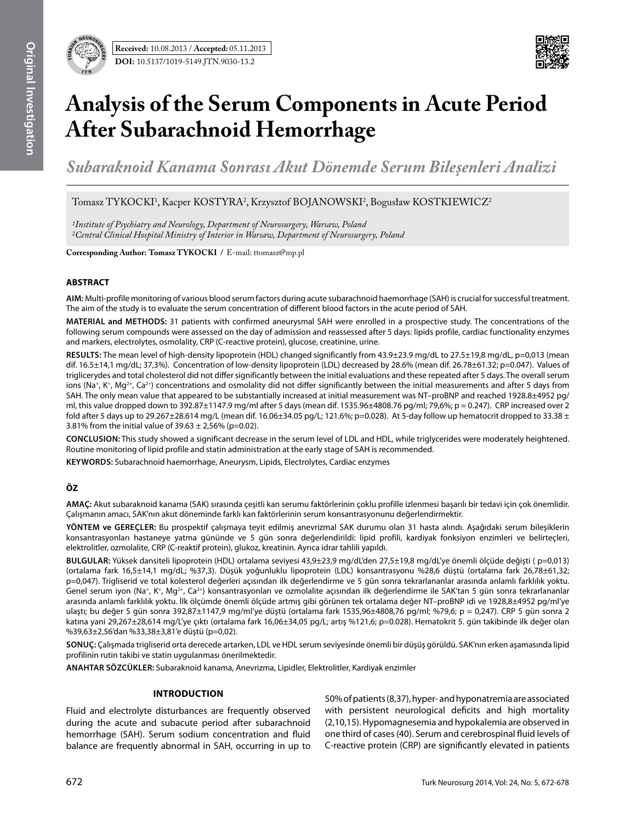

# **Analysis of the Serum Components in Acute Period After Subarachnoid Hemorrhage**

*Subaraknoid Kanama Sonrası Akut Dönemde Serum Bileşenleri Analizi*

Tomasz TYKOCKI<sup>1</sup>, Kacper KOSTYRA<sup>2</sup>, Krzysztof BOJANOWSKI<sup>2</sup>, Bogusław KOSTKIEWICZ<sup>2</sup>

*1Institute of Psychiatry and Neurology, Department of Neurosurgery, Warsaw, Poland 2Central Clinical Hospital Ministry of Interior in Warsaw, Department of Neurosurgery, Poland*

**Corresponding Author: Tomasz Tykockı /** E-mail: ttomasz@mp.pl

## **ABSTRACT**

**AIm:** Multi-profile monitoring of various blood serum factors during acute subarachnoid haemorrhage (SAH) is crucial for successful treatment. The aim of the study is to evaluate the serum concentration of different blood factors in the acute period of SAH.

**MaterIal and Methods:** 31 patients with confirmed aneurysmal SAH were enrolled in a prospective study. The concentrations of the following serum compounds were assessed on the day of admission and reassessed after 5 days: lipids profile, cardiac functionality enzymes and markers, electrolytes, osmolality, CRP (C-reactive protein), glucose, creatinine, urine.

**Results:** The mean level of high-density lipoprotein (HDL) changed significantly from 43.9±23.9 mg/dL to 27.5±19,8 mg/dL, p=0,013 (mean dif. 16.5±14,1 mg/dL; 37,3%). Concentration of low-density lipoprotein (LDL) decreased by 28.6% (mean dif. 26.78±61.32; p=0.047). Values of triglicerydes and total cholesterol did not differ significantly between the initial evaluations and these repeated after 5 days. The overall serum ions (Na<sup>+</sup>, K<sup>+</sup>, Mg<sup>2+</sup>, Ca<sup>2+</sup>) concentrations and osmolality did not differ significantly between the initial measurements and after 5 days from SAH. The only mean value that appeared to be substantially increased at initial measurement was NT–proBNP and reached 1928.8±4952 pg/ ml, this value dropped down to 392.87±1147.9 mg/ml after 5 days (mean dif. 1535.96±4808.76 pg/ml; 79,6%; p = 0.247). CRP increased over 2 fold after 5 days up to 29.267 $\pm$ 28.614 mg/L (mean dif. 16.06 $\pm$ 34.05 pg/L; 121.6%; p=0.028). At 5-day follow up hematocrit dropped to 33.38  $\pm$ 3.81% from the initial value of  $39.63 \pm 2.56$ % (p=0.02).

**ConclusIon:** This study showed a significant decrease in the serum level of LDL and HDL, while triglycerides were moderately heightened. Routine monitoring of lipid profile and statin administration at the early stage of SAH is recommended.

**Keywords:** Subarachnoid haemorrhage, Aneurysm, Lipids, Electrolytes, Cardiac enzymes

## **ÖZ**

**AMAÇ:** Akut subaraknoid kanama (SAK) sırasında çeşitli kan serumu faktörlerinin çoklu profille izlenmesi başarılı bir tedavi için çok önemlidir. Çalışmanın amacı, SAK'nın akut döneminde farklı kan faktörlerinin serum konsantrasyonunu değerlendirmektir.

**YÖNTEM ve GEREÇLER:** Bu prospektif çalışmaya teyit edilmiş anevrizmal SAK durumu olan 31 hasta alındı. Aşağıdaki serum bileşiklerin konsantrasyonları hastaneye yatma gününde ve 5 gün sonra değerlendirildi: lipid profili, kardiyak fonksiyon enzimleri ve belirteçleri, elektrolitler, ozmolalite, CRP (C-reaktif protein), glukoz, kreatinin. Ayrıca idrar tahlili yapıldı.

**BULGULAR:** Yüksek dansiteli lipoprotein (HDL) ortalama seviyesi 43,9±23,9 mg/dL'den 27,5±19,8 mg/dL'ye önemli ölçüde değişti ( p=0,013) (ortalama fark 16,5±14,1 mg/dL; %37,3). Düşük yoğunluklu lipoprotein (LDL) konsantrasyonu %28,6 düştü (ortalama fark 26,78±61,32; p=0,047). Trigliserid ve total kolesterol değerleri açısından ilk değerlendirme ve 5 gün sonra tekrarlananlar arasında anlamlı farklılık yoktu. Genel serum iyon (Na+, K+, Mg<sup>2+</sup>, Ca<sup>2+</sup>) konsantrasyonları ve ozmolalite açısından ilk değerlendirme ile SAK'tan 5 gün sonra tekrarlananlar arasında anlamlı farklılık yoktu. İlk ölçümde önemli ölçüde artmış gibi görünen tek ortalama değer NT–proBNP idi ve 1928,8±4952 pg/ml'ye ulaştı; bu değer 5 gün sonra 392,87±1147,9 mg/ml'ye düştü (ortalama fark 1535,96±4808,76 pg/ml; %79,6; p = 0,247). CRP 5 gün sonra 2 katına yani 29,267±28,614 mg/L'ye çıktı (ortalama fark 16,06±34,05 pg/L; artış %121,6; p=0.028). Hematokrit 5. gün takibinde ilk değer olan %39,63±2,56'dan %33,38±3,81'e düştü (p=0,02).

**SONUÇ:** Çalışmada trigliserid orta derecede artarken, LDL ve HDL serum seviyesinde önemli bir düşüş görüldü. SAK'nın erken aşamasında lipid profilinin rutin takibi ve statin uygulanması önerilmektedir.

**ANAHTAR SÖZCÜKLER:** Subaraknoid kanama, Anevrizma, Lipidler, Elektrolitler, Kardiyak enzimler

## **Introduction**

Fluid and electrolyte disturbances are frequently observed during the acute and subacute period after subarachnoid hemorrhage (SAH). Serum sodium concentration and fluid balance are frequently abnormal in SAH, occurring in up to

50% of patients (8,37), hyper- and hyponatremia are associated with persistent neurological deficits and high mortality (2,10,15). Hypomagnesemia and hypokalemia are observed in one third of cases (40). Serum and cerebrospinal fluid levels of C-reactive protein (CRP) are significantly elevated in patients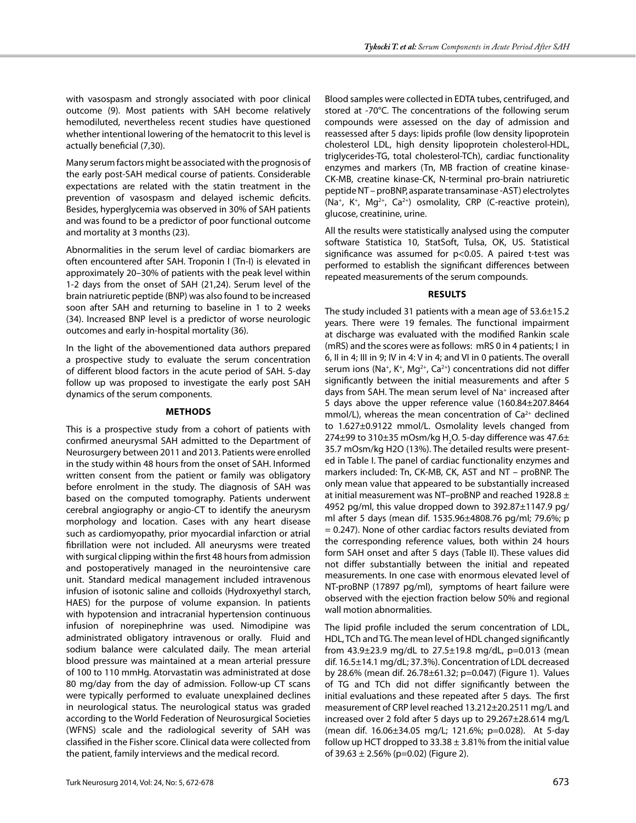with vasospasm and strongly associated with poor clinical outcome (9). Most patients with SAH become relatively hemodiluted, nevertheless recent studies have questioned whether intentional lowering of the hematocrit to this level is actually beneficial (7,30).

Many serum factors might be associated with the prognosis of the early post-SAH medical course of patients. Considerable expectations are related with the statin treatment in the prevention of vasospasm and delayed ischemic deficits. Besides, hyperglycemia was observed in 30% of SAH patients and was found to be a predictor of poor functional outcome and mortality at 3 months (23).

Abnormalities in the serum level of cardiac biomarkers are often encountered after SAH. Troponin I (Tn-I) is elevated in approximately 20–30% of patients with the peak level within 1-2 days from the onset of SAH (21,24). Serum level of the brain natriuretic peptide (BNP) was also found to be increased soon after SAH and returning to baseline in 1 to 2 weeks (34). Increased BNP level is a predictor of worse neurologic outcomes and early in-hospital mortality (36).

In the light of the abovementioned data authors prepared a prospective study to evaluate the serum concentration of different blood factors in the acute period of SAH. 5-day follow up was proposed to investigate the early post SAH dynamics of the serum components.

## **Methods**

This is a prospective study from a cohort of patients with confirmed aneurysmal SAH admitted to the Department of Neurosurgery between 2011 and 2013. Patients were enrolled in the study within 48 hours from the onset of SAH. Informed written consent from the patient or family was obligatory before enrolment in the study. The diagnosis of SAH was based on the computed tomography. Patients underwent cerebral angiography or angio-CT to identify the aneurysm morphology and location. Cases with any heart disease such as cardiomyopathy, prior myocardial infarction or atrial fibrillation were not included. All aneurysms were treated with surgical clipping within the first 48 hours from admission and postoperatively managed in the neurointensive care unit. Standard medical management included intravenous infusion of isotonic saline and colloids (Hydroxyethyl starch, HAES) for the purpose of volume expansion. In patients with hypotension and intracranial hypertension continuous infusion of norepinephrine was used. Nimodipine was administrated obligatory intravenous or orally. Fluid and sodium balance were calculated daily. The mean arterial blood pressure was maintained at a mean arterial pressure of 100 to 110 mmHg. Atorvastatin was administrated at dose 80 mg/day from the day of admission. Follow-up CT scans were typically performed to evaluate unexplained declines in neurological status. The neurological status was graded according to the World Federation of Neurosurgical Societies (WFNS) scale and the radiological severity of SAH was classified in the Fisher score. Clinical data were collected from the patient, family interviews and the medical record.

Blood samples were collected in EDTA tubes, centrifuged, and stored at -70°C. The concentrations of the following serum compounds were assessed on the day of admission and reassessed after 5 days: lipids profile (low density lipoprotein cholesterol LDL, high density lipoprotein cholesterol-HDL, triglycerides-TG, total cholesterol-TCh), cardiac functionality enzymes and markers (Tn, MB fraction of creatine kinase-CK-MB, creatine kinase-CK, N-terminal pro-brain natriuretic peptide NT – proBNP, asparate transaminase -AST) electrolytes (Na<sup>+</sup>, K<sup>+</sup>, Mg<sup>2+</sup>, Ca<sup>2+</sup>) osmolality, CRP (C-reactive protein), glucose, creatinine, urine.

All the results were statistically analysed using the computer software Statistica 10, StatSoft, Tulsa, OK, US. Statistical significance was assumed for p<0.05. A paired t-test was performed to establish the significant differences between repeated measurements of the serum compounds.

# **Results**

The study included 31 patients with a mean age of 53.6±15.2 years. There were 19 females. The functional impairment at discharge was evaluated with the modified Rankin scale (mRS) and the scores were as follows: mRS 0 in 4 patients; I in 6, II in 4; III in 9; IV in 4: V in 4; and VI in 0 patients. The overall serum ions (Na<sup>+</sup>, K<sup>+</sup>, Mg<sup>2+</sup>, Ca<sup>2+</sup>) concentrations did not differ significantly between the initial measurements and after 5 days from SAH. The mean serum level of Na+ increased after 5 days above the upper reference value (160.84±207.8464 mmol/L), whereas the mean concentration of  $Ca<sup>2+</sup>$  declined to 1.627±0.9122 mmol/L. Osmolality levels changed from 274 $\pm$ 99 to 310 $\pm$ 35 mOsm/kg H $_{2}$ O. 5-day difference was 47.6 $\pm$ 35.7 mOsm/kg H2O (13%). The detailed results were presented in Table I. The panel of cardiac functionality enzymes and markers included: Tn, CK-MB, CK, AST and NT – proBNP. The only mean value that appeared to be substantially increased at initial measurement was NT–proBNP and reached 1928.8 ± 4952 pg/ml, this value dropped down to 392.87±1147.9 pg/ ml after 5 days (mean dif. 1535.96±4808.76 pg/ml; 79.6%; p = 0.247). None of other cardiac factors results deviated from the corresponding reference values, both within 24 hours form SAH onset and after 5 days (Table II). These values did not differ substantially between the initial and repeated measurements. In one case with enormous elevated level of NT-proBNP (17897 pg/ml), symptoms of heart failure were observed with the ejection fraction below 50% and regional wall motion abnormalities.

The lipid profile included the serum concentration of LDL, HDL, TCh and TG. The mean level of HDL changed significantly from 43.9 $\pm$ 23.9 mg/dL to 27.5 $\pm$ 19.8 mg/dL, p=0.013 (mean dif. 16.5±14.1 mg/dL; 37.3%). Concentration of LDL decreased by 28.6% (mean dif. 26.78±61.32; p=0.047) (Figure 1). Values of TG and TCh did not differ significantly between the initial evaluations and these repeated after 5 days. The first measurement of CRP level reached 13.212±20.2511 mg/L and increased over 2 fold after 5 days up to 29.267±28.614 mg/L (mean dif. 16.06±34.05 mg/L; 121.6%; p=0.028). At 5-day follow up HCT dropped to  $33.38 \pm 3.81\%$  from the initial value of 39.63  $\pm$  2.56% (p=0.02) (Figure 2).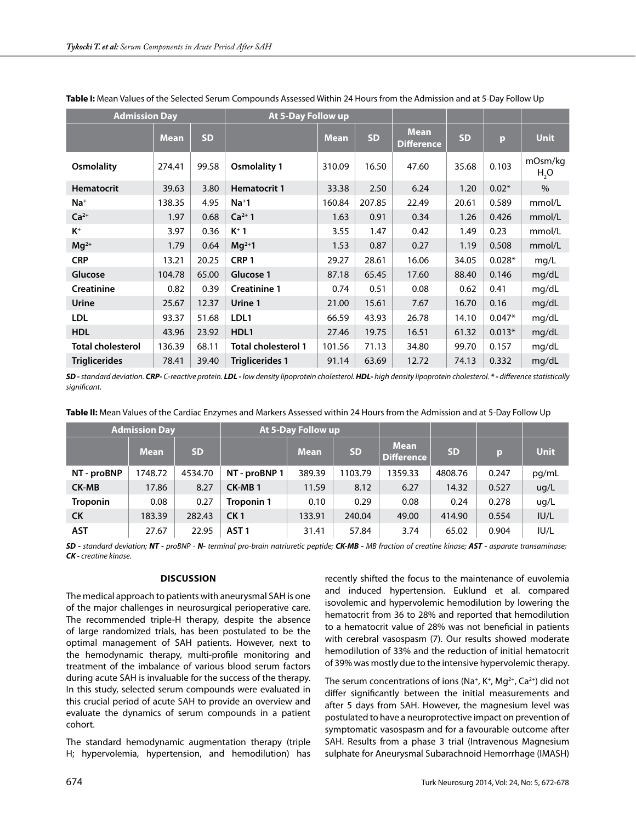| <b>Admission Day</b>     |             |           | At 5-Day Follow up         |             |           |                                  |           |          |                             |
|--------------------------|-------------|-----------|----------------------------|-------------|-----------|----------------------------------|-----------|----------|-----------------------------|
|                          | <b>Mean</b> | <b>SD</b> |                            | <b>Mean</b> | <b>SD</b> | <b>Mean</b><br><b>Difference</b> | <b>SD</b> | p        | <b>Unit</b>                 |
| <b>Osmolality</b>        | 274.41      | 99.58     | <b>Osmolality 1</b>        | 310.09      | 16.50     | 47.60                            | 35.68     | 0.103    | mOsm/kg<br>H <sub>2</sub> O |
| <b>Hematocrit</b>        | 39.63       | 3.80      | <b>Hematocrit 1</b>        | 33.38       | 2.50      | 6.24                             | 1.20      | $0.02*$  | $\%$                        |
| $Na+$                    | 138.35      | 4.95      | $Na+1$                     | 160.84      | 207.85    | 22.49                            | 20.61     | 0.589    | mmol/L                      |
| $Ca2+$                   | 1.97        | 0.68      | $Ca^{2+}1$                 | 1.63        | 0.91      | 0.34                             | 1.26      | 0.426    | mmol/L                      |
| $K^+$                    | 3.97        | 0.36      | $K^+$ 1                    | 3.55        | 1.47      | 0.42                             | 1.49      | 0.23     | mmol/L                      |
| $Mg^{2+}$                | 1.79        | 0.64      | $Mg^{2+}1$                 | 1.53        | 0.87      | 0.27                             | 1.19      | 0.508    | mmol/L                      |
| <b>CRP</b>               | 13.21       | 20.25     | CRP <sub>1</sub>           | 29.27       | 28.61     | 16.06                            | 34.05     | $0.028*$ | mg/L                        |
| Glucose                  | 104.78      | 65.00     | Glucose 1                  | 87.18       | 65.45     | 17.60                            | 88.40     | 0.146    | mg/dL                       |
| <b>Creatinine</b>        | 0.82        | 0.39      | <b>Creatinine 1</b>        | 0.74        | 0.51      | 0.08                             | 0.62      | 0.41     | mg/dL                       |
| Urine                    | 25.67       | 12.37     | Urine 1                    | 21.00       | 15.61     | 7.67                             | 16.70     | 0.16     | mg/dL                       |
| <b>LDL</b>               | 93.37       | 51.68     | LDL1                       | 66.59       | 43.93     | 26.78                            | 14.10     | $0.047*$ | mg/dL                       |
| <b>HDL</b>               | 43.96       | 23.92     | HDL1                       | 27.46       | 19.75     | 16.51                            | 61.32     | $0.013*$ | mg/dL                       |
| <b>Total cholesterol</b> | 136.39      | 68.11     | <b>Total cholesterol 1</b> | 101.56      | 71.13     | 34.80                            | 99.70     | 0.157    | mg/dL                       |
| <b>Triglicerides</b>     | 78.41       | 39.40     | <b>Triglicerides 1</b>     | 91.14       | 63.69     | 12.72                            | 74.13     | 0.332    | mg/dL                       |

## **Table I:** Mean Values of the Selected Serum Compounds Assessed Within 24 Hours from the Admission and at 5-Day Follow Up

SD - standard deviation. CRP-C-reactive protein. LDL - low density lipoprotein cholesterol. HDL- high density lipoprotein cholesterol. \*- difference statistically *significant.*

| Table II: Mean Values of the Cardiac Enzymes and Markers Assessed within 24 Hours from the Admission and at 5-Day Follow Up |  |
|-----------------------------------------------------------------------------------------------------------------------------|--|
|-----------------------------------------------------------------------------------------------------------------------------|--|

| <b>Admission Day</b> |             |           | <b>At 5-Day Follow up</b> |             |           |                                  |           |       |             |
|----------------------|-------------|-----------|---------------------------|-------------|-----------|----------------------------------|-----------|-------|-------------|
|                      | <b>Mean</b> | <b>SD</b> |                           | <b>Mean</b> | <b>SD</b> | <b>Mean</b><br><b>Difference</b> | <b>SD</b> | p     | <b>Unit</b> |
| NT - proBNP          | 1748.72     | 4534.70   | NT - proBNP 1             | 389.39      | 1103.79   | 1359.33                          | 4808.76   | 0.247 | pg/mL       |
| <b>CK-MB</b>         | 17.86       | 8.27      | CK-MB <sub>1</sub>        | 11.59       | 8.12      | 6.27                             | 14.32     | 0.527 | ug/L        |
| Troponin             | 0.08        | 0.27      | Troponin 1                | 0.10        | 0.29      | 0.08                             | 0.24      | 0.278 | ug/L        |
| <b>CK</b>            | 183.39      | 282.43    | CK <sub>1</sub>           | 133.91      | 240.04    | 49.00                            | 414.90    | 0.554 | IUI/L       |
| <b>AST</b>           | 27.67       | 22.95     | AST <sub>1</sub>          | 31.41       | 57.84     | 3.74                             | 65.02     | 0.904 | IU/L        |

*SD - standard deviation; NT - proBNP - N- terminal pro-brain natriuretic peptide; CK-MB - MB fraction of creatine kinase; AST - asparate transaminase; CK - creatine kinase.*

## **Discussion**

The medical approach to patients with aneurysmal SAH is one of the major challenges in neurosurgical perioperative care. The recommended triple-H therapy, despite the absence of large randomized trials, has been postulated to be the optimal management of SAH patients. However, next to the hemodynamic therapy, multi-profile monitoring and treatment of the imbalance of various blood serum factors during acute SAH is invaluable for the success of the therapy. In this study, selected serum compounds were evaluated in this crucial period of acute SAH to provide an overview and evaluate the dynamics of serum compounds in a patient cohort.

The standard hemodynamic augmentation therapy (triple H; hypervolemia, hypertension, and hemodilution) has recently shifted the focus to the maintenance of euvolemia and induced hypertension. Euklund et al. compared isovolemic and hypervolemic hemodilution by lowering the hematocrit from 36 to 28% and reported that hemodilution to a hematocrit value of 28% was not beneficial in patients with cerebral vasospasm (7). Our results showed moderate hemodilution of 33% and the reduction of initial hematocrit of 39% was mostly due to the intensive hypervolemic therapy.

The serum concentrations of ions (Na<sup>+</sup>, K<sup>+</sup>, Mg<sup>2+</sup>, Ca<sup>2+</sup>) did not differ significantly between the initial measurements and after 5 days from SAH. However, the magnesium level was postulated to have a neuroprotective impact on prevention of symptomatic vasospasm and for a favourable outcome after SAH. Results from a phase 3 trial (Intravenous Magnesium sulphate for Aneurysmal Subarachnoid Hemorrhage (IMASH)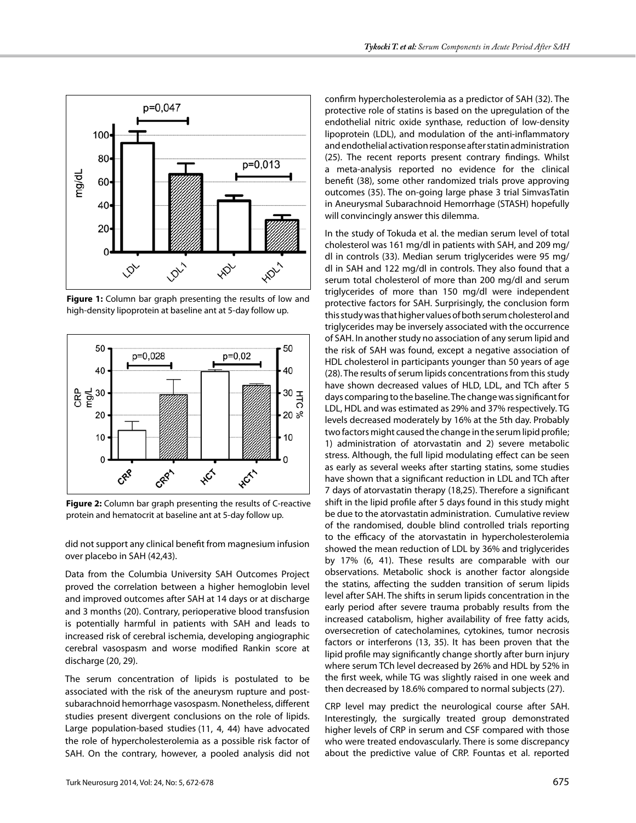

**Figure 1:** Column bar graph presenting the results of low and high-density lipoprotein at baseline ant at 5-day follow up.



**Figure 2:** Column bar graph presenting the results of C-reactive protein and hematocrit at baseline ant at 5-day follow up.

did not support any clinical benefit from magnesium infusion over placebo in SAH (42,43).

Data from the Columbia University SAH Outcomes Project proved the correlation between a higher hemoglobin level and improved outcomes after SAH at 14 days or at discharge and 3 months (20). Contrary, perioperative blood transfusion is potentially harmful in patients with SAH and leads to increased risk of cerebral ischemia, developing angiographic cerebral vasospasm and worse modified Rankin score at discharge (20, 29).

The serum concentration of lipids is postulated to be associated with the risk of the aneurysm rupture and postsubarachnoid hemorrhage vasospasm. Nonetheless, different studies present divergent conclusions on the role of lipids. Large population-based studies (11, 4, 44) have advocated the role of hypercholesterolemia as a possible risk factor of SAH. On the contrary, however, a pooled analysis did not

confirm hypercholesterolemia as a predictor of SAH (32). The protective role of statins is based on the upregulation of the endothelial nitric oxide synthase, reduction of low-density lipoprotein (LDL), and modulation of the anti-inflammatory and endothelial activation response after statin administration (25). The recent reports present contrary findings. Whilst a meta-analysis reported no evidence for the clinical benefit (38), some other randomized trials prove approving outcomes (35). The on-going large phase 3 trial SimvasTatin in Aneurysmal Subarachnoid Hemorrhage (STASH) hopefully will convincingly answer this dilemma.

In the study of Tokuda et al. the median serum level of total cholesterol was 161 mg/dl in patients with SAH, and 209 mg/ dl in controls (33). Median serum triglycerides were 95 mg/ dl in SAH and 122 mg/dl in controls. They also found that a serum total cholesterol of more than 200 mg/dl and serum triglycerides of more than 150 mg/dl were independent protective factors for SAH. Surprisingly, the conclusion form this study was that higher values of both serum cholesterol and triglycerides may be inversely associated with the occurrence of SAH. In another study no association of any serum lipid and the risk of SAH was found, except a negative association of HDL cholesterol in participants younger than 50 years of age (28). The results of serum lipids concentrations from this study have shown decreased values of HLD, LDL, and TCh after 5 days comparing to the baseline. The change was significant for LDL, HDL and was estimated as 29% and 37% respectively. TG levels decreased moderately by 16% at the 5th day. Probably two factors might caused the change in the serum lipid profile; 1) administration of atorvastatin and 2) severe metabolic stress. Although, the full lipid modulating effect can be seen as early as several weeks after starting statins, some studies have shown that a significant reduction in LDL and TCh after 7 days of atorvastatin therapy (18,25). Therefore a significant shift in the lipid profile after 5 days found in this study might be due to the atorvastatin administration. Cumulative review of the randomised, double blind controlled trials reporting to the efficacy of the atorvastatin in hypercholesterolemia showed the mean reduction of LDL by 36% and triglycerides by 17% (6, 41). These results are comparable with our observations. Metabolic shock is another factor alongside the statins, affecting the sudden transition of serum lipids level after SAH. The shifts in serum lipids concentration in the early period after severe trauma probably results from the increased catabolism, higher availability of free fatty acids, oversecretion of catecholamines, cytokines, tumor necrosis factors or interferons (13, 35). It has been proven that the lipid profile may significantly change shortly after burn injury where serum TCh level decreased by 26% and HDL by 52% in the first week, while TG was slightly raised in one week and then decreased by 18.6% compared to normal subjects (27).

CRP level may predict the neurological course after SAH. Interestingly, the surgically treated group demonstrated higher levels of CRP in serum and CSF compared with those who were treated endovascularly. There is some discrepancy about the predictive value of CRP. Fountas et al. reported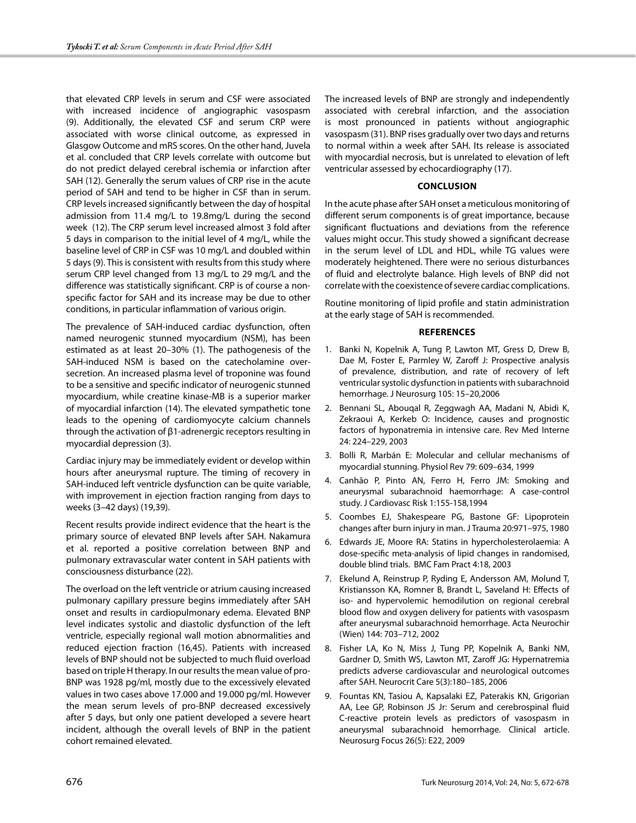that elevated CRP levels in serum and CSF were associated with increased incidence of angiographic vasospasm (9). Additionally, the elevated CSF and serum CRP were associated with worse clinical outcome, as expressed in Glasgow Outcome and mRS scores. On the other hand, Juvela et al. concluded that CRP levels correlate with outcome but do not predict delayed cerebral ischemia or infarction after SAH (12). Generally the serum values of CRP rise in the acute period of SAH and tend to be higher in CSF than in serum. CRP levels increased significantly between the day of hospital admission from 11.4 mg/L to 19.8mg/L during the second week (12). The CRP serum level increased almost 3 fold after 5 days in comparison to the initial level of 4 mg/L, while the baseline level of CRP in CSF was 10 mg/L and doubled within 5 days (9). This is consistent with results from this study where serum CRP level changed from 13 mg/L to 29 mg/L and the difference was statistically significant. CRP is of course a nonspecific factor for SAH and its increase may be due to other conditions, in particular inflammation of various origin.

The prevalence of SAH-induced cardiac dysfunction, often named neurogenic stunned myocardium (NSM), has been estimated as at least 20–30% (1). The pathogenesis of the SAH-induced NSM is based on the catecholamine oversecretion. An increased plasma level of troponine was found to be a sensitive and specific indicator of neurogenic stunned myocardium, while creatine kinase-MB is a superior marker of myocardial infarction (14). The elevated sympathetic tone leads to the opening of cardiomyocyte calcium channels through the activation of β1-adrenergic receptors resulting in myocardial depression (3).

Cardiac injury may be immediately evident or develop within hours after aneurysmal rupture. The timing of recovery in SAH-induced left ventricle dysfunction can be quite variable, with improvement in ejection fraction ranging from days to weeks (3–42 days) (19,39).

Recent results provide indirect evidence that the heart is the primary source of elevated BNP levels after SAH. Nakamura et al. reported a positive correlation between BNP and pulmonary extravascular water content in SAH patients with consciousness disturbance (22).

The overload on the left ventricle or atrium causing increased pulmonary capillary pressure begins immediately after SAH onset and results in cardiopulmonary edema. Elevated BNP level indicates systolic and diastolic dysfunction of the left ventricle, especially regional wall motion abnormalities and reduced ejection fraction (16,45). Patients with increased levels of BNP should not be subjected to much fluid overload based on triple H therapy. In our results the mean value of pro-BNP was 1928 pg/ml, mostly due to the excessively elevated values in two cases above 17.000 and 19.000 pg/ml. However the mean serum levels of pro-BNP decreased excessively after 5 days, but only one patient developed a severe heart incident, although the overall levels of BNP in the patient cohort remained elevated.

The increased levels of BNP are strongly and independently associated with cerebral infarction, and the association is most pronounced in patients without angiographic vasospasm (31). BNP rises gradually over two days and returns to normal within a week after SAH. Its release is associated with myocardial necrosis, but is unrelated to elevation of left ventricular assessed by echocardiography (17).

## **Conclusion**

In the acute phase after SAH onset a meticulous monitoring of different serum components is of great importance, because significant fluctuations and deviations from the reference values might occur. This study showed a significant decrease in the serum level of LDL and HDL, while TG values were moderately heightened. There were no serious disturbances of fluid and electrolyte balance. High levels of BNP did not correlate with the coexistence of severe cardiac complications.

Routine monitoring of lipid profile and statin administration at the early stage of SAH is recommended.

## **References**

- 1. Banki N, Kopelnik A, Tung P, Lawton MT, Gress D, Drew B, Dae M, Foster E, Parmley W, Zaroff J: Prospective analysis of prevalence, distribution, and rate of recovery of left ventricular systolic dysfunction in patients with subarachnoid hemorrhage. J Neurosurg 105: 15–20,2006
- 2. Bennani SL, Abouqal R, Zeggwagh AA, Madani N, Abidi K, Zekraoui A, Kerkeb O: Incidence, causes and prognostic factors of hyponatremia in intensive care. Rev Med Interne 24: 224–229, 2003
- 3. Bolli R, Marbán E: Molecular and cellular mechanisms of myocardial stunning. Physiol Rev 79: 609–634, 1999
- 4. Canhão P, Pinto AN, Ferro H, Ferro JM: Smoking and aneurysmal subarachnoid haemorrhage: A case-control study. J Cardiovasc Risk 1:155-158,1994
- 5. Coombes EJ, Shakespeare PG, Bastone GF: Lipoprotein changes after burn injury in man. J Trauma 20:971–975, 1980
- 6. Edwards JE, Moore RA: Statins in hypercholesterolaemia: A dose-specific meta-analysis of lipid changes in randomised, double blind trials. BMC Fam Pract 4:18, 2003
- 7. Ekelund A, Reinstrup P, Ryding E, Andersson AM, Molund T, Kristiansson KA, Romner B, Brandt L, Saveland H: Effects of iso- and hypervolemic hemodilution on regional cerebral blood flow and oxygen delivery for patients with vasospasm after aneurysmal subarachnoid hemorrhage. Acta Neurochir (Wien) 144: 703–712, 2002
- 8. Fisher LA, Ko N, Miss J, Tung PP, Kopelnik A, Banki NM, Gardner D, Smith WS, Lawton MT, Zaroff JG: Hypernatremia predicts adverse cardiovascular and neurological outcomes after SAH. Neurocrit Care 5(3):180–185, 2006
- 9. Fountas KN, Tasiou A, Kapsalaki EZ, Paterakis KN, Grigorian AA, Lee GP, Robinson JS Jr: Serum and cerebrospinal fluid C-reactive protein levels as predictors of vasospasm in aneurysmal subarachnoid hemorrhage. Clinical article. Neurosurg Focus 26(5): E22, 2009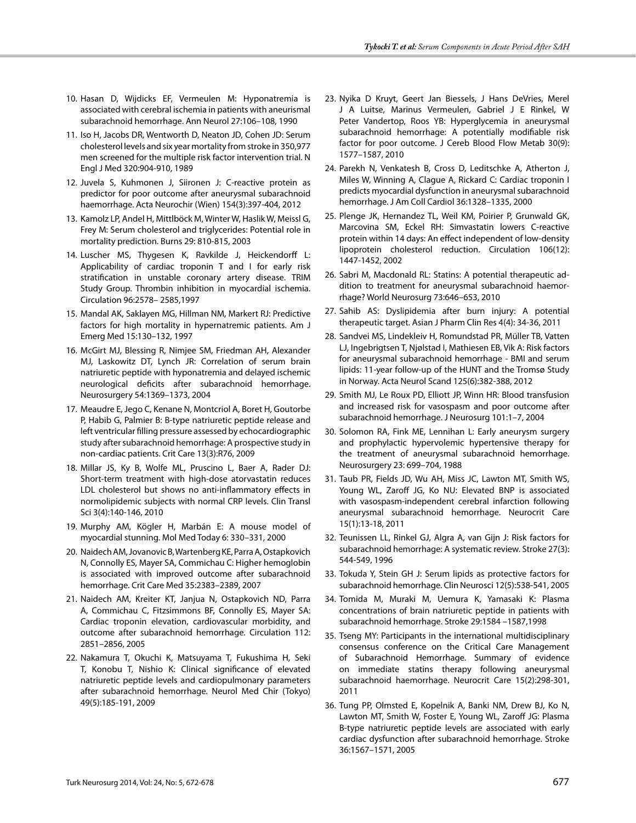- 10. Hasan D, Wijdicks EF, Vermeulen M: Hyponatremia is associated with cerebral ischemia in patients with aneurismal subarachnoid hemorrhage. Ann Neurol 27:106–108, 1990
- 11. Iso H, Jacobs DR, Wentworth D, Neaton JD, Cohen JD: Serum cholesterol levels and six year mortality from stroke in 350,977 men screened for the multiple risk factor intervention trial. N Engl J Med 320:904-910, 1989
- 12. Juvela S, Kuhmonen J, Siironen J: C-reactive protein as predictor for poor outcome after aneurysmal subarachnoid haemorrhage. Acta Neurochir (Wien) 154(3):397-404, 2012
- 13. Kamolz LP, Andel H, Mittlböck M, Winter W, Haslik W, Meissl G, Frey M: Serum cholesterol and triglycerides: Potential role in mortality prediction. Burns 29: 810-815, 2003
- 14. Luscher MS, Thygesen K, Ravkilde J, Heickendorff L: Applicability of cardiac troponin T and I for early risk stratification in unstable coronary artery disease. TRIM Study Group. Thrombin inhibition in myocardial ischemia. Circulation 96:2578– 2585,1997
- 15. Mandal AK, Saklayen MG, Hillman NM, Markert RJ: Predictive factors for high mortality in hypernatremic patients. Am J Emerg Med 15:130–132, 1997
- 16. McGirt MJ, Blessing R, Nimjee SM, Friedman AH, Alexander MJ, Laskowitz DT, Lynch JR: Correlation of serum brain natriuretic peptide with hyponatremia and delayed ischemic neurological deficits after subarachnoid hemorrhage. Neurosurgery 54:1369–1373, 2004
- 17. Meaudre E, Jego C, Kenane N, Montcriol A, Boret H, Goutorbe P, Habib G, Palmier B: B-type natriuretic peptide release and left ventricular filling pressure assessed by echocardiographic study after subarachnoid hemorrhage: A prospective study in non-cardiac patients. Crit Care 13(3):R76, 2009
- 18. Millar JS, Ky B, Wolfe ML, Pruscino L, Baer A, Rader DJ: Short-term treatment with high-dose atorvastatin reduces LDL cholesterol but shows no anti-inflammatory effects in normolipidemic subjects with normal CRP levels. Clin Transl Sci 3(4):140-146, 2010
- 19. Murphy AM, Kögler H, Marbán E: A mouse model of myocardial stunning. Mol Med Today 6: 330–331, 2000
- 20. Naidech AM, Jovanovic B, Wartenberg KE, Parra A, Ostapkovich N, Connolly ES, Mayer SA, Commichau C: Higher hemoglobin is associated with improved outcome after subarachnoid hemorrhage. Crit Care Med 35:2383–2389, 2007
- 21. Naidech AM, Kreiter KT, Janjua N, Ostapkovich ND, Parra A, Commichau C, Fitzsimmons BF, Connolly ES, Mayer SA: Cardiac troponin elevation, cardiovascular morbidity, and outcome after subarachnoid hemorrhage. Circulation 112: 2851–2856, 2005
- 22. Nakamura T, Okuchi K, Matsuyama T, Fukushima H, Seki T, Konobu T, Nishio K: Clinical significance of elevated natriuretic peptide levels and cardiopulmonary parameters after subarachnoid hemorrhage. Neurol Med Chir (Tokyo) 49(5):185-191, 2009
- 23. Nyika D Kruyt, Geert Jan Biessels, J Hans DeVries, Merel J A Luitse, Marinus Vermeulen, Gabriel J E Rinkel, W Peter Vandertop, Roos YB: Hyperglycemia in aneurysmal subarachnoid hemorrhage: A potentially modifiable risk factor for poor outcome. J Cereb Blood Flow Metab 30(9): 1577–1587, 2010
- 24. Parekh N, Venkatesh B, Cross D, Leditschke A, Atherton J, Miles W, Winning A, Clague A, Rickard C: Cardiac troponin I predicts myocardial dysfunction in aneurysmal subarachnoid hemorrhage. J Am Coll Cardiol 36:1328–1335, 2000
- 25. Plenge JK, Hernandez TL, Weil KM, Poirier P, Grunwald GK, Marcovina SM, Eckel RH: Simvastatin lowers C-reactive protein within 14 days: An effect independent of low-density lipoprotein cholesterol reduction. Circulation 106(12): 1447-1452, 2002
- 26. Sabri M, Macdonald RL: Statins: A potential therapeutic addition to treatment for aneurysmal subarachnoid haemorrhage? World Neurosurg 73:646–653, 2010
- 27. Sahib AS: Dyslipidemia after burn injury: A potential therapeutic target. Asian J Pharm Clin Res 4(4): 34-36, 2011
- 28. Sandvei MS, Lindekleiv H, Romundstad PR, Müller TB, Vatten LJ, Ingebrigtsen T, Njølstad I, Mathiesen EB, Vik A: Risk factors for aneurysmal subarachnoid hemorrhage - BMI and serum lipids: 11-year follow-up of the HUNT and the Tromsø Study in Norway. Acta Neurol Scand 125(6):382-388, 2012
- 29. Smith MJ, Le Roux PD, Elliott JP, Winn HR: Blood transfusion and increased risk for vasospasm and poor outcome after subarachnoid hemorrhage. J Neurosurg 101:1–7, 2004
- 30. Solomon RA, Fink ME, Lennihan L: Early aneurysm surgery and prophylactic hypervolemic hypertensive therapy for the treatment of aneurysmal subarachnoid hemorrhage. Neurosurgery 23: 699–704, 1988
- 31. Taub PR, Fields JD, Wu AH, Miss JC, Lawton MT, Smith WS, Young WL, Zaroff JG, Ko NU: Elevated BNP is associated with vasospasm-independent cerebral infarction following aneurysmal subarachnoid hemorrhage. Neurocrit Care 15(1):13-18, 2011
- 32. Teunissen LL, Rinkel GJ, Algra A, van Gijn J: Risk factors for subarachnoid hemorrhage: A systematic review. Stroke 27(3): 544-549, 1996
- 33. Tokuda Y, Stein GH J: Serum lipids as protective factors for subarachnoid hemorrhage. Clin Neurosci 12(5):538-541, 2005
- 34. Tomida M, Muraki M, Uemura K, Yamasaki K: Plasma concentrations of brain natriuretic peptide in patients with subarachnoid hemorrhage. Stroke 29:1584 –1587,1998
- 35. Tseng MY: Participants in the international multidisciplinary consensus conference on the Critical Care Management of Subarachnoid Hemorrhage. Summary of evidence on immediate statins therapy following aneurysmal subarachnoid haemorrhage. Neurocrit Care 15(2):298-301, 2011
- 36. Tung PP, Olmsted E, Kopelnik A, Banki NM, Drew BJ, Ko N, Lawton MT, Smith W, Foster E, Young WL, Zaroff JG: Plasma B-type natriuretic peptide levels are associated with early cardiac dysfunction after subarachnoid hemorrhage. Stroke 36:1567–1571, 2005